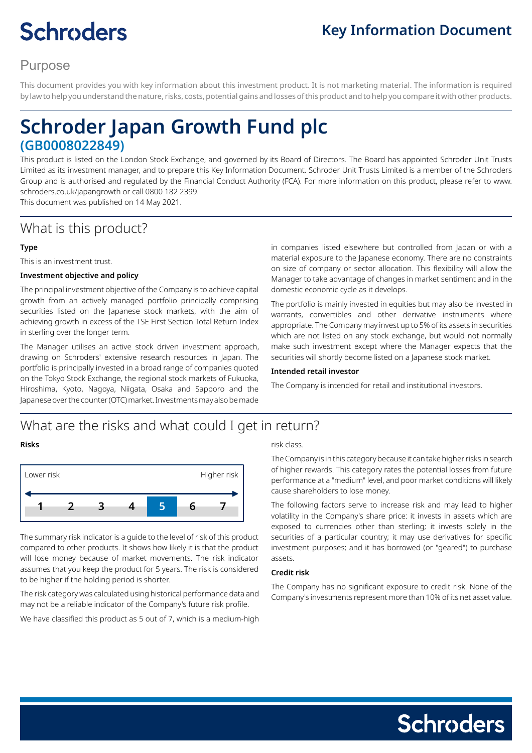# **Schroders**

# **Key Information Document**

# Purpose

This document provides you with key information about this investment product. It is not marketing material. The information is required by law to help you understand the nature, risks, costs, potential gains and losses of this product and to help you compare it with other products.

# **Schroder Japan Growth Fund plc (GB0008022849)**

This product is listed on the London Stock Exchange, and governed by its Board of Directors. The Board has appointed Schroder Unit Trusts Limited as its investment manager, and to prepare this Key Information Document. Schroder Unit Trusts Limited is a member of the Schroders Group and is authorised and regulated by the Financial Conduct Authority (FCA). For more information on this product, please refer to www. schroders.co.uk/japangrowth or call 0800 182 2399.

This document was published on 14 May 2021.

# What is this product?

#### **Type**

This is an investment trust.

#### **Investment objective and policy**

The principal investment objective of the Company is to achieve capital growth from an actively managed portfolio principally comprising securities listed on the Japanese stock markets, with the aim of achieving growth in excess of the TSE First Section Total Return Index in sterling over the longer term.

The Manager utilises an active stock driven investment approach, drawing on Schroders' extensive research resources in Japan. The portfolio is principally invested in a broad range of companies quoted on the Tokyo Stock Exchange, the regional stock markets of Fukuoka, Hiroshima, Kyoto, Nagoya, Niigata, Osaka and Sapporo and the Japanese over the counter (OTC) market. Investments may also be made

in companies listed elsewhere but controlled from Japan or with a material exposure to the Japanese economy. There are no constraints on size of company or sector allocation. This flexibility will allow the Manager to take advantage of changes in market sentiment and in the domestic economic cycle as it develops.

The portfolio is mainly invested in equities but may also be invested in warrants, convertibles and other derivative instruments where appropriate. The Company may invest up to 5% of its assets in securities which are not listed on any stock exchange, but would not normally make such investment except where the Manager expects that the securities will shortly become listed on a Japanese stock market.

#### **Intended retail investor**

The Company is intended for retail and institutional investors.

# What are the risks and what could I get in return?

#### **Risks**



The summary risk indicator is a guide to the level of risk of this product compared to other products. It shows how likely it is that the product will lose money because of market movements. The risk indicator assumes that you keep the product for 5 years. The risk is considered to be higher if the holding period is shorter.

The risk category was calculated using historical performance data and may not be a reliable indicator of the Company's future risk profile.

We have classified this product as 5 out of 7, which is a medium-high

#### risk class.

The Company is in this category because it can take higher risks in search of higher rewards. This category rates the potential losses from future performance at a "medium" level, and poor market conditions will likely cause shareholders to lose money.

The following factors serve to increase risk and may lead to higher volatility in the Company's share price: it invests in assets which are exposed to currencies other than sterling; it invests solely in the securities of a particular country; it may use derivatives for specific investment purposes; and it has borrowed (or "geared") to purchase assets.

#### **Credit risk**

The Company has no significant exposure to credit risk. None of the Company's investments represent more than 10% of its net asset value.

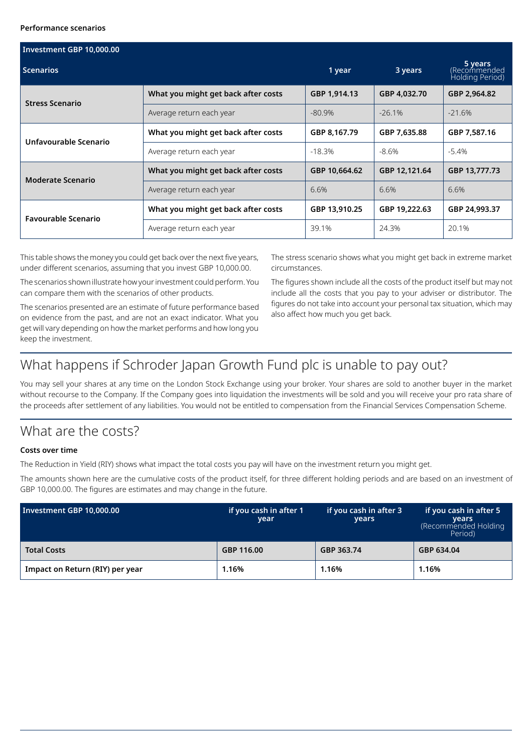#### **Performance scenarios**

| Investment GBP 10,000.00   |                                     |               |                                            |               |  |  |
|----------------------------|-------------------------------------|---------------|--------------------------------------------|---------------|--|--|
| <b>Scenarios</b>           | 1 year                              | 3 years       | 5 years<br>Recommended)<br>Holding Period) |               |  |  |
| <b>Stress Scenario</b>     | What you might get back after costs | GBP 1,914.13  | GBP 4.032.70                               | GBP 2,964.82  |  |  |
|                            | Average return each year            | -80.9%        | $-26.1%$                                   | $-21.6%$      |  |  |
| Unfavourable Scenario      | What you might get back after costs | GBP 8,167.79  | GBP 7,635.88                               | GBP 7,587.16  |  |  |
|                            | Average return each year            | $-18.3%$      | $-8.6%$                                    | $-5.4\%$      |  |  |
| <b>Moderate Scenario</b>   | What you might get back after costs | GBP 10,664.62 | GBP 12,121.64                              | GBP 13,777.73 |  |  |
|                            | Average return each year            | 6.6%          | 6.6%                                       | 6.6%          |  |  |
| <b>Favourable Scenario</b> | What you might get back after costs | GBP 13,910.25 | GBP 19,222.63                              | GBP 24,993.37 |  |  |
|                            | Average return each year            | 39.1%         | 24.3%                                      | 20.1%         |  |  |

This table shows the money you could get back over the next five years, under different scenarios, assuming that you invest GBP 10,000.00.

The scenarios shown illustrate how your investment could perform. You can compare them with the scenarios of other products.

The scenarios presented are an estimate of future performance based on evidence from the past, and are not an exact indicator. What you get will vary depending on how the market performs and how long you keep the investment.

The stress scenario shows what you might get back in extreme market circumstances.

The figures shown include all the costs of the product itself but may not include all the costs that you pay to your adviser or distributor. The figures do not take into account your personal tax situation, which may also affect how much you get back.

# What happens if Schroder Japan Growth Fund plc is unable to pay out?

You may sell your shares at any time on the London Stock Exchange using your broker. Your shares are sold to another buyer in the market without recourse to the Company. If the Company goes into liquidation the investments will be sold and you will receive your pro rata share of the proceeds after settlement of any liabilities. You would not be entitled to compensation from the Financial Services Compensation Scheme.

# What are the costs?

#### **Costs over time**

The Reduction in Yield (RIY) shows what impact the total costs you pay will have on the investment return you might get.

The amounts shown here are the cumulative costs of the product itself, for three different holding periods and are based on an investment of GBP 10,000.00. The figures are estimates and may change in the future.

| Investment GBP 10,000.00        | if you cash in after 1<br>year | if you cash in after 3<br>years | if you cash in after 5<br><b>vears</b><br>(Recommended Holding<br>Period) |
|---------------------------------|--------------------------------|---------------------------------|---------------------------------------------------------------------------|
| <b>Total Costs</b>              | GBP 116.00                     | GBP 363.74                      | GBP 634.04                                                                |
| Impact on Return (RIY) per year | 1.16%                          | 1.16%                           | 1.16%                                                                     |